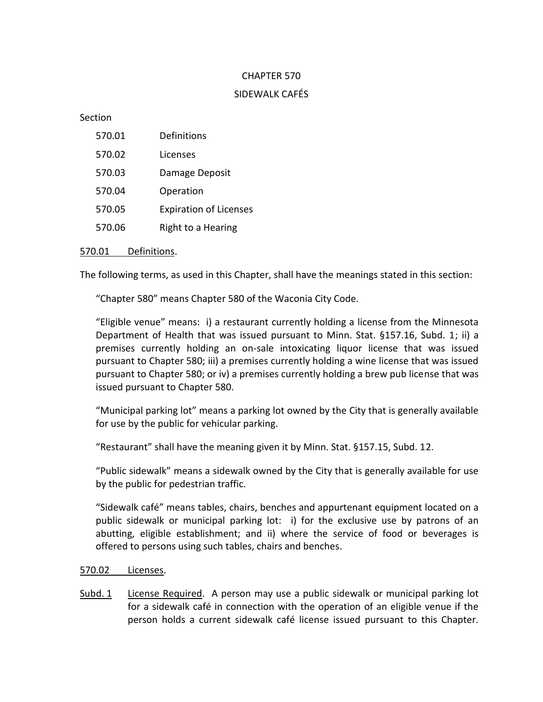## CHAPTER 570

### SIDEWALK CAFÉS

Section

| 570.01 | Definitions                   |
|--------|-------------------------------|
| 570.02 | Licenses                      |
| 570.03 | Damage Deposit                |
| 570.04 | Operation                     |
| 570.05 | <b>Expiration of Licenses</b> |
| 570.06 | Right to a Hearing            |
|        |                               |

#### 570.01 Definitions.

The following terms, as used in this Chapter, shall have the meanings stated in this section:

"Chapter 580" means Chapter 580 of the Waconia City Code.

"Eligible venue" means: i) a restaurant currently holding a license from the Minnesota Department of Health that was issued pursuant to Minn. Stat. §157.16, Subd. 1; ii) a premises currently holding an on-sale intoxicating liquor license that was issued pursuant to Chapter 580; iii) a premises currently holding a wine license that was issued pursuant to Chapter 580; or iv) a premises currently holding a brew pub license that was issued pursuant to Chapter 580.

"Municipal parking lot" means a parking lot owned by the City that is generally available for use by the public for vehicular parking.

"Restaurant" shall have the meaning given it by Minn. Stat. §157.15, Subd. 12.

"Public sidewalk" means a sidewalk owned by the City that is generally available for use by the public for pedestrian traffic.

"Sidewalk café" means tables, chairs, benches and appurtenant equipment located on a public sidewalk or municipal parking lot: i) for the exclusive use by patrons of an abutting, eligible establishment; and ii) where the service of food or beverages is offered to persons using such tables, chairs and benches.

#### 570.02 Licenses.

Subd. 1 License Required. A person may use a public sidewalk or municipal parking lot for a sidewalk café in connection with the operation of an eligible venue if the person holds a current sidewalk café license issued pursuant to this Chapter.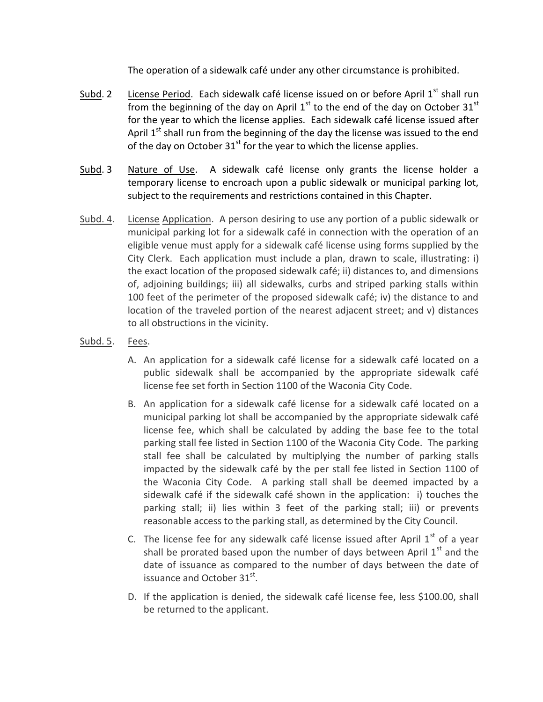The operation of a sidewalk café under any other circumstance is prohibited.

- Subd. 2 License Period. Each sidewalk café license issued on or before April 1<sup>st</sup> shall run from the beginning of the day on April  $1<sup>st</sup>$  to the end of the day on October 31 $<sup>st</sup>$ </sup> for the year to which the license applies. Each sidewalk café license issued after April  $1<sup>st</sup>$  shall run from the beginning of the day the license was issued to the end of the day on October  $31^{st}$  for the year to which the license applies.
- Subd. 3 Nature of Use. A sidewalk café license only grants the license holder a temporary license to encroach upon a public sidewalk or municipal parking lot, subject to the requirements and restrictions contained in this Chapter.
- Subd. 4. License Application. A person desiring to use any portion of a public sidewalk or municipal parking lot for a sidewalk café in connection with the operation of an eligible venue must apply for a sidewalk café license using forms supplied by the City Clerk. Each application must include a plan, drawn to scale, illustrating: i) the exact location of the proposed sidewalk café; ii) distances to, and dimensions of, adjoining buildings; iii) all sidewalks, curbs and striped parking stalls within 100 feet of the perimeter of the proposed sidewalk café; iv) the distance to and location of the traveled portion of the nearest adjacent street; and v) distances to all obstructions in the vicinity.
- Subd. 5. Fees.
	- A. An application for a sidewalk café license for a sidewalk café located on a public sidewalk shall be accompanied by the appropriate sidewalk café license fee set forth in Section 1100 of the Waconia City Code.
	- B. An application for a sidewalk café license for a sidewalk café located on a municipal parking lot shall be accompanied by the appropriate sidewalk café license fee, which shall be calculated by adding the base fee to the total parking stall fee listed in Section 1100 of the Waconia City Code. The parking stall fee shall be calculated by multiplying the number of parking stalls impacted by the sidewalk café by the per stall fee listed in Section 1100 of the Waconia City Code. A parking stall shall be deemed impacted by a sidewalk café if the sidewalk café shown in the application: i) touches the parking stall; ii) lies within 3 feet of the parking stall; iii) or prevents reasonable access to the parking stall, as determined by the City Council.
	- C. The license fee for any sidewalk café license issued after April  $1<sup>st</sup>$  of a year shall be prorated based upon the number of days between April  $1<sup>st</sup>$  and the date of issuance as compared to the number of days between the date of issuance and October  $31<sup>st</sup>$ .
	- D. If the application is denied, the sidewalk café license fee, less \$100.00, shall be returned to the applicant.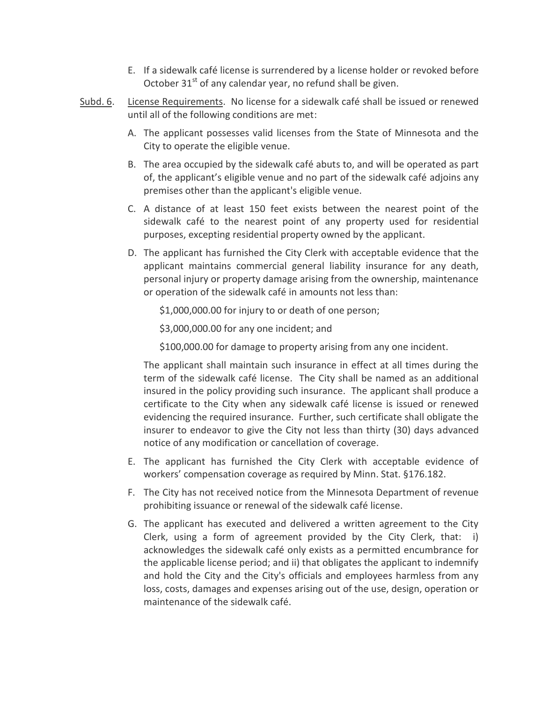- E. If a sidewalk café license is surrendered by a license holder or revoked before October  $31<sup>st</sup>$  of any calendar year, no refund shall be given.
- Subd. 6. License Requirements. No license for a sidewalk café shall be issued or renewed until all of the following conditions are met:
	- A. The applicant possesses valid licenses from the State of Minnesota and the City to operate the eligible venue.
	- B. The area occupied by the sidewalk café abuts to, and will be operated as part of, the applicant's eligible venue and no part of the sidewalk café adjoins any premises other than the applicant's eligible venue.
	- C. A distance of at least 150 feet exists between the nearest point of the sidewalk café to the nearest point of any property used for residential purposes, excepting residential property owned by the applicant.
	- D. The applicant has furnished the City Clerk with acceptable evidence that the applicant maintains commercial general liability insurance for any death, personal injury or property damage arising from the ownership, maintenance or operation of the sidewalk café in amounts not less than:

\$1,000,000.00 for injury to or death of one person;

\$3,000,000.00 for any one incident; and

\$100,000.00 for damage to property arising from any one incident.

The applicant shall maintain such insurance in effect at all times during the term of the sidewalk café license. The City shall be named as an additional insured in the policy providing such insurance. The applicant shall produce a certificate to the City when any sidewalk café license is issued or renewed evidencing the required insurance. Further, such certificate shall obligate the insurer to endeavor to give the City not less than thirty (30) days advanced notice of any modification or cancellation of coverage.

- E. The applicant has furnished the City Clerk with acceptable evidence of workers' compensation coverage as required by Minn. Stat. §176.182.
- F. The City has not received notice from the Minnesota Department of revenue prohibiting issuance or renewal of the sidewalk café license.
- G. The applicant has executed and delivered a written agreement to the City Clerk, using a form of agreement provided by the City Clerk, that: i) acknowledges the sidewalk café only exists as a permitted encumbrance for the applicable license period; and ii) that obligates the applicant to indemnify and hold the City and the City's officials and employees harmless from any loss, costs, damages and expenses arising out of the use, design, operation or maintenance of the sidewalk café.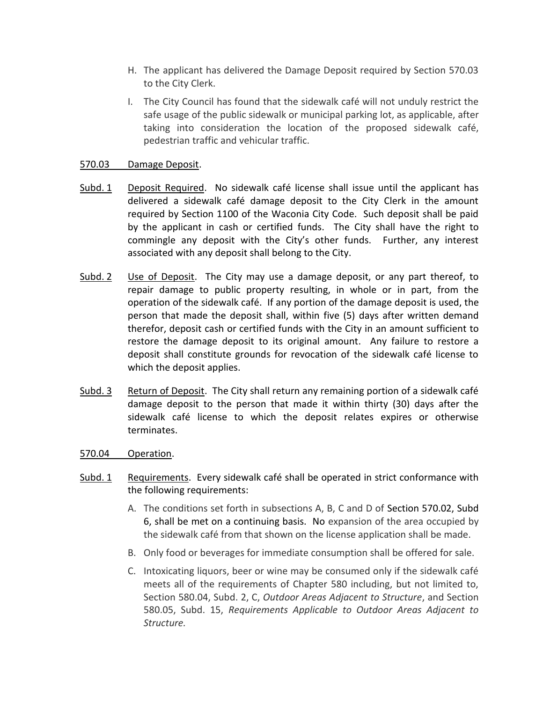- H. The applicant has delivered the Damage Deposit required by Section 570.03 to the City Clerk.
- I. The City Council has found that the sidewalk café will not unduly restrict the safe usage of the public sidewalk or municipal parking lot, as applicable, after taking into consideration the location of the proposed sidewalk café, pedestrian traffic and vehicular traffic.

# 570.03 Damage Deposit.

- Subd. 1 Deposit Required. No sidewalk café license shall issue until the applicant has delivered a sidewalk café damage deposit to the City Clerk in the amount required by Section 1100 of the Waconia City Code. Such deposit shall be paid by the applicant in cash or certified funds. The City shall have the right to commingle any deposit with the City's other funds. Further, any interest associated with any deposit shall belong to the City.
- Subd. 2 Use of Deposit. The City may use a damage deposit, or any part thereof, to repair damage to public property resulting, in whole or in part, from the operation of the sidewalk café. If any portion of the damage deposit is used, the person that made the deposit shall, within five (5) days after written demand therefor, deposit cash or certified funds with the City in an amount sufficient to restore the damage deposit to its original amount. Any failure to restore a deposit shall constitute grounds for revocation of the sidewalk café license to which the deposit applies.
- Subd. 3 Return of Deposit. The City shall return any remaining portion of a sidewalk café damage deposit to the person that made it within thirty (30) days after the sidewalk café license to which the deposit relates expires or otherwise terminates.
- 570.04 Operation.
- Subd. 1 Requirements. Every sidewalk café shall be operated in strict conformance with the following requirements:
	- A. The conditions set forth in subsections A, B, C and D of Section 570.02, Subd 6, shall be met on a continuing basis. No expansion of the area occupied by the sidewalk café from that shown on the license application shall be made.
	- B. Only food or beverages for immediate consumption shall be offered for sale.
	- C. Intoxicating liquors, beer or wine may be consumed only if the sidewalk café meets all of the requirements of Chapter 580 including, but not limited to, Section 580.04, Subd. 2, C, *Outdoor Areas Adjacent to Structure*, and Section 580.05, Subd. 15, *Requirements Applicable to Outdoor Areas Adjacent to Structure.*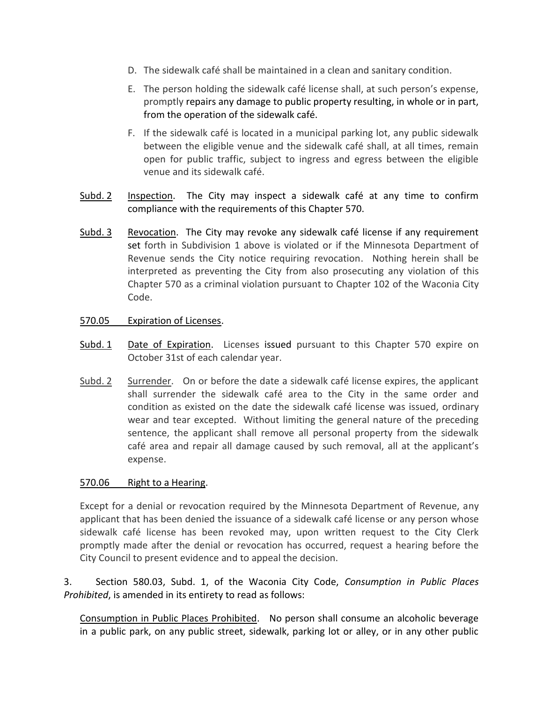- D. The sidewalk café shall be maintained in a clean and sanitary condition.
- E. The person holding the sidewalk café license shall, at such person's expense, promptly repairs any damage to public property resulting, in whole or in part, from the operation of the sidewalk café.
- F. If the sidewalk café is located in a municipal parking lot, any public sidewalk between the eligible venue and the sidewalk café shall, at all times, remain open for public traffic, subject to ingress and egress between the eligible venue and its sidewalk café.
- Subd. 2 Inspection. The City may inspect a sidewalk café at any time to confirm compliance with the requirements of this Chapter 570.
- Subd. 3 Revocation. The City may revoke any sidewalk café license if any requirement set forth in Subdivision 1 above is violated or if the Minnesota Department of Revenue sends the City notice requiring revocation. Nothing herein shall be interpreted as preventing the City from also prosecuting any violation of this Chapter 570 as a criminal violation pursuant to Chapter 102 of the Waconia City Code.

## 570.05 Expiration of Licenses.

- Subd. 1 Date of Expiration. Licenses issued pursuant to this Chapter 570 expire on October 31st of each calendar year.
- Subd. 2 Surrender. On or before the date a sidewalk café license expires, the applicant shall surrender the sidewalk café area to the City in the same order and condition as existed on the date the sidewalk café license was issued, ordinary wear and tear excepted. Without limiting the general nature of the preceding sentence, the applicant shall remove all personal property from the sidewalk café area and repair all damage caused by such removal, all at the applicant's expense.

## 570.06 Right to a Hearing.

Except for a denial or revocation required by the Minnesota Department of Revenue, any applicant that has been denied the issuance of a sidewalk café license or any person whose sidewalk café license has been revoked may, upon written request to the City Clerk promptly made after the denial or revocation has occurred, request a hearing before the City Council to present evidence and to appeal the decision.

3. Section 580.03, Subd. 1, of the Waconia City Code, *Consumption in Public Places Prohibited*, is amended in its entirety to read as follows:

Consumption in Public Places Prohibited. No person shall consume an alcoholic beverage in a public park, on any public street, sidewalk, parking lot or alley, or in any other public